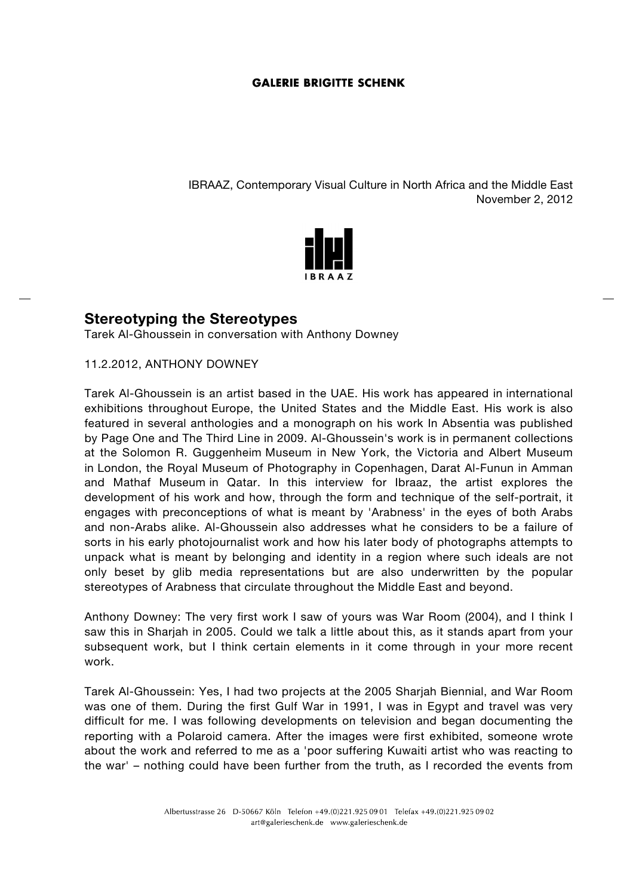IBRAAZ, Contemporary Visual Culture in North Africa and the Middle East November 2, 2012



# **Stereotyping the Stereotypes**

Tarek Al-Ghoussein in conversation with Anthony Downey

11.2.2012, ANTHONY DOWNEY

Tarek Al-Ghoussein is an artist based in the UAE. His work has appeared in international exhibitions throughout Europe, the United States and the Middle East. His work is also featured in several anthologies and a monograph on his work In Absentia was published by Page One and The Third Line in 2009. Al-Ghoussein's work is in permanent collections at the Solomon R. Guggenheim Museum in New York, the Victoria and Albert Museum in London, the Royal Museum of Photography in Copenhagen, Darat Al-Funun in Amman and Mathaf Museum in Qatar. In this interview for Ibraaz, the artist explores the development of his work and how, through the form and technique of the self-portrait, it engages with preconceptions of what is meant by 'Arabness' in the eyes of both Arabs and non-Arabs alike. Al-Ghoussein also addresses what he considers to be a failure of sorts in his early photojournalist work and how his later body of photographs attempts to unpack what is meant by belonging and identity in a region where such ideals are not only beset by glib media representations but are also underwritten by the popular stereotypes of Arabness that circulate throughout the Middle East and beyond.

Anthony Downey: The very first work I saw of yours was War Room (2004), and I think I saw this in Sharjah in 2005. Could we talk a little about this, as it stands apart from your subsequent work, but I think certain elements in it come through in your more recent work.

Tarek Al-Ghoussein: Yes, I had two projects at the 2005 Sharjah Biennial, and War Room was one of them. During the first Gulf War in 1991, I was in Egypt and travel was very difficult for me. I was following developments on television and began documenting the reporting with a Polaroid camera. After the images were first exhibited, someone wrote about the work and referred to me as a 'poor suffering Kuwaiti artist who was reacting to the war' – nothing could have been further from the truth, as I recorded the events from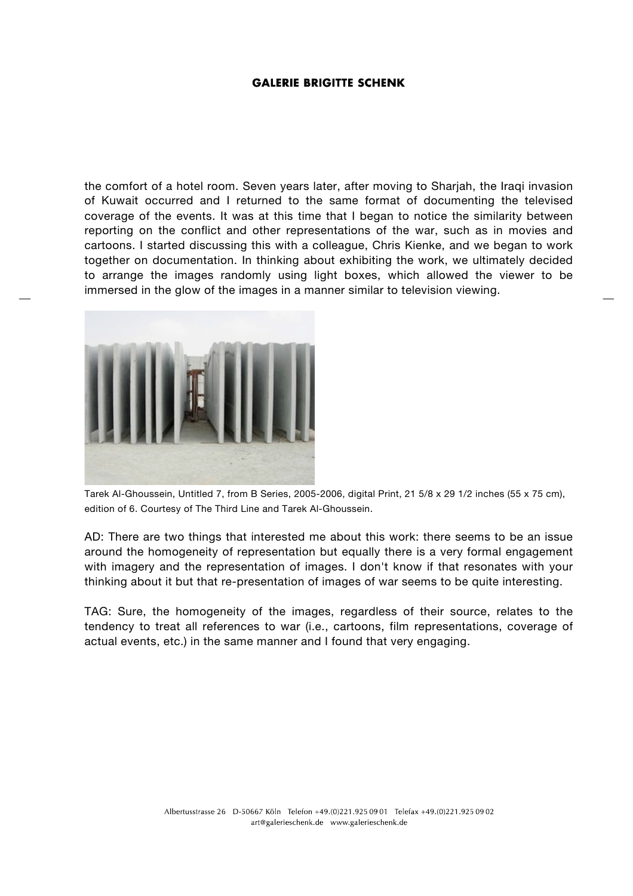the comfort of a hotel room. Seven years later, after moving to Sharjah, the Iraqi invasion of Kuwait occurred and I returned to the same format of documenting the televised coverage of the events. It was at this time that I began to notice the similarity between reporting on the conflict and other representations of the war, such as in movies and cartoons. I started discussing this with a colleague, Chris Kienke, and we began to work together on documentation. In thinking about exhibiting the work, we ultimately decided to arrange the images randomly using light boxes, which allowed the viewer to be immersed in the glow of the images in a manner similar to television viewing.



Tarek Al-Ghoussein, Untitled 7, from B Series, 2005-2006, digital Print, 21 5/8 x 29 1/2 inches (55 x 75 cm), edition of 6. Courtesy of The Third Line and Tarek Al-Ghoussein.

AD: There are two things that interested me about this work: there seems to be an issue around the homogeneity of representation but equally there is a very formal engagement with imagery and the representation of images. I don't know if that resonates with your thinking about it but that re-presentation of images of war seems to be quite interesting.

TAG: Sure, the homogeneity of the images, regardless of their source, relates to the tendency to treat all references to war (i.e., cartoons, film representations, coverage of actual events, etc.) in the same manner and I found that very engaging.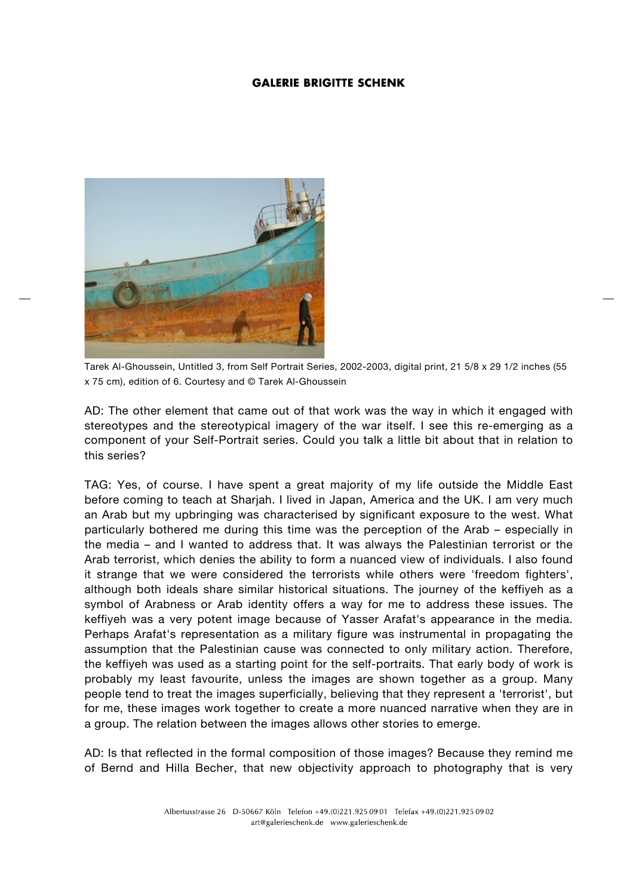

Tarek Al-Ghoussein, Untitled 3, from Self Portrait Series, 2002-2003, digital print, 21 5/8 x 29 1/2 inches (55 x 75 cm), edition of 6. Courtesy and © Tarek Al-Ghoussein

AD: The other element that came out of that work was the way in which it engaged with stereotypes and the stereotypical imagery of the war itself. I see this re-emerging as a component of your Self-Portrait series. Could you talk a little bit about that in relation to this series?

TAG: Yes, of course. I have spent a great majority of my life outside the Middle East before coming to teach at Sharjah. I lived in Japan, America and the UK. I am very much an Arab but my upbringing was characterised by significant exposure to the west. What particularly bothered me during this time was the perception of the Arab – especially in the media – and I wanted to address that. It was always the Palestinian terrorist or the Arab terrorist, which denies the ability to form a nuanced view of individuals. I also found it strange that we were considered the terrorists while others were 'freedom fighters', although both ideals share similar historical situations. The journey of the keffiyeh as a symbol of Arabness or Arab identity offers a way for me to address these issues. The keffiyeh was a very potent image because of Yasser Arafat's appearance in the media. Perhaps Arafat's representation as a military figure was instrumental in propagating the assumption that the Palestinian cause was connected to only military action. Therefore, the keffiyeh was used as a starting point for the self-portraits. That early body of work is probably my least favourite, unless the images are shown together as a group. Many people tend to treat the images superficially, believing that they represent a 'terrorist', but for me, these images work together to create a more nuanced narrative when they are in a group. The relation between the images allows other stories to emerge.

AD: Is that reflected in the formal composition of those images? Because they remind me of Bernd and Hilla Becher, that new objectivity approach to photography that is very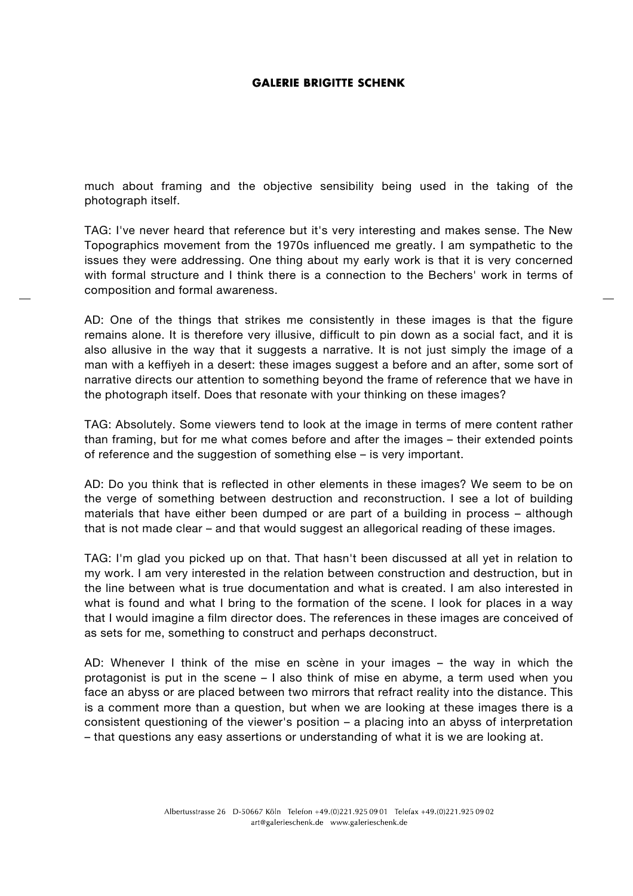much about framing and the objective sensibility being used in the taking of the photograph itself.

TAG: I've never heard that reference but it's very interesting and makes sense. The New Topographics movement from the 1970s influenced me greatly. I am sympathetic to the issues they were addressing. One thing about my early work is that it is very concerned with formal structure and I think there is a connection to the Bechers' work in terms of composition and formal awareness.

AD: One of the things that strikes me consistently in these images is that the figure remains alone. It is therefore very illusive, difficult to pin down as a social fact, and it is also allusive in the way that it suggests a narrative. It is not just simply the image of a man with a keffiyeh in a desert: these images suggest a before and an after, some sort of narrative directs our attention to something beyond the frame of reference that we have in the photograph itself. Does that resonate with your thinking on these images?

TAG: Absolutely. Some viewers tend to look at the image in terms of mere content rather than framing, but for me what comes before and after the images – their extended points of reference and the suggestion of something else – is very important.

AD: Do you think that is reflected in other elements in these images? We seem to be on the verge of something between destruction and reconstruction. I see a lot of building materials that have either been dumped or are part of a building in process – although that is not made clear – and that would suggest an allegorical reading of these images.

TAG: I'm glad you picked up on that. That hasn't been discussed at all yet in relation to my work. I am very interested in the relation between construction and destruction, but in the line between what is true documentation and what is created. I am also interested in what is found and what I bring to the formation of the scene. I look for places in a way that I would imagine a film director does. The references in these images are conceived of as sets for me, something to construct and perhaps deconstruct.

AD: Whenever I think of the mise en scène in your images – the way in which the protagonist is put in the scene – I also think of mise en abyme, a term used when you face an abyss or are placed between two mirrors that refract reality into the distance. This is a comment more than a question, but when we are looking at these images there is a consistent questioning of the viewer's position – a placing into an abyss of interpretation – that questions any easy assertions or understanding of what it is we are looking at.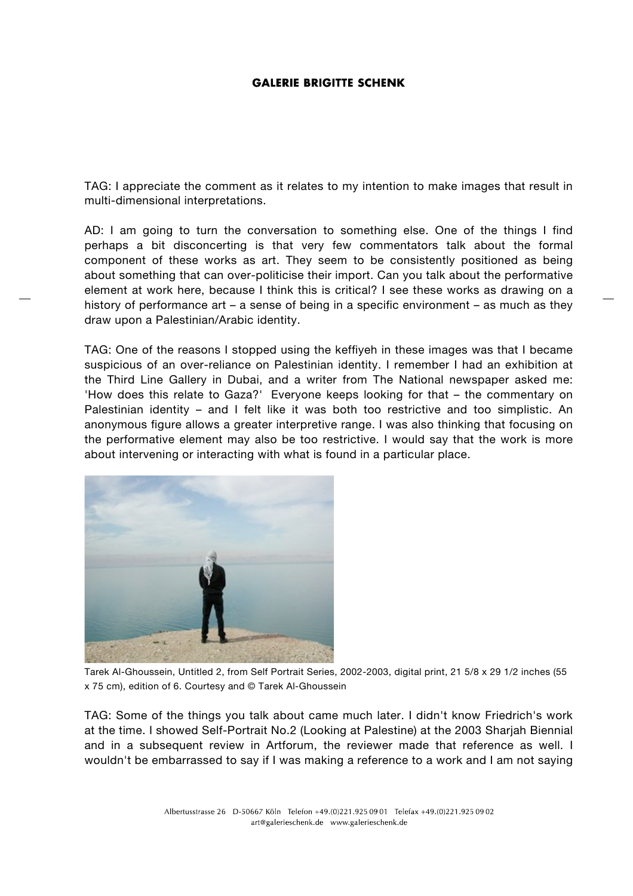TAG: I appreciate the comment as it relates to my intention to make images that result in multi-dimensional interpretations.

AD: I am going to turn the conversation to something else. One of the things I find perhaps a bit disconcerting is that very few commentators talk about the formal component of these works as art. They seem to be consistently positioned as being about something that can over-politicise their import. Can you talk about the performative element at work here, because I think this is critical? I see these works as drawing on a history of performance art – a sense of being in a specific environment – as much as they draw upon a Palestinian/Arabic identity.

TAG: One of the reasons I stopped using the keffiyeh in these images was that I became suspicious of an over-reliance on Palestinian identity. I remember I had an exhibition at the Third Line Gallery in Dubai, and a writer from The National newspaper asked me: 'How does this relate to Gaza?' Everyone keeps looking for that – the commentary on Palestinian identity - and I felt like it was both too restrictive and too simplistic. An anonymous figure allows a greater interpretive range. I was also thinking that focusing on the performative element may also be too restrictive. I would say that the work is more about intervening or interacting with what is found in a particular place.



Tarek Al-Ghoussein, Untitled 2, from Self Portrait Series, 2002-2003, digital print, 21 5/8 x 29 1/2 inches (55 x 75 cm), edition of 6. Courtesy and © Tarek Al-Ghoussein

TAG: Some of the things you talk about came much later. I didn't know Friedrich's work at the time. I showed Self-Portrait No.2 (Looking at Palestine) at the 2003 Sharjah Biennial and in a subsequent review in Artforum, the reviewer made that reference as well. I wouldn't be embarrassed to say if I was making a reference to a work and I am not saying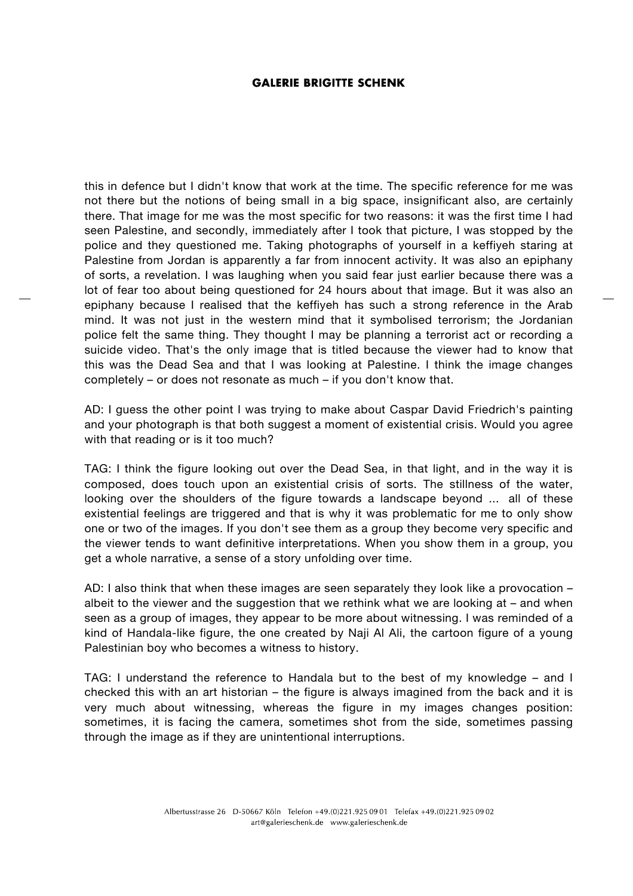this in defence but I didn't know that work at the time. The specific reference for me was not there but the notions of being small in a big space, insignificant also, are certainly there. That image for me was the most specific for two reasons: it was the first time I had seen Palestine, and secondly, immediately after I took that picture, I was stopped by the police and they questioned me. Taking photographs of yourself in a keffiyeh staring at Palestine from Jordan is apparently a far from innocent activity. It was also an epiphany of sorts, a revelation. I was laughing when you said fear just earlier because there was a lot of fear too about being questioned for 24 hours about that image. But it was also an epiphany because I realised that the keffiyeh has such a strong reference in the Arab mind. It was not just in the western mind that it symbolised terrorism; the Jordanian police felt the same thing. They thought I may be planning a terrorist act or recording a suicide video. That's the only image that is titled because the viewer had to know that this was the Dead Sea and that I was looking at Palestine. I think the image changes completely – or does not resonate as much – if you don't know that.

AD: I guess the other point I was trying to make about Caspar David Friedrich's painting and your photograph is that both suggest a moment of existential crisis. Would you agree with that reading or is it too much?

TAG: I think the figure looking out over the Dead Sea, in that light, and in the way it is composed, does touch upon an existential crisis of sorts. The stillness of the water, looking over the shoulders of the figure towards a landscape beyond ... all of these existential feelings are triggered and that is why it was problematic for me to only show one or two of the images. If you don't see them as a group they become very specific and the viewer tends to want definitive interpretations. When you show them in a group, you get a whole narrative, a sense of a story unfolding over time.

AD: I also think that when these images are seen separately they look like a provocation – albeit to the viewer and the suggestion that we rethink what we are looking at – and when seen as a group of images, they appear to be more about witnessing. I was reminded of a kind of Handala-like figure, the one created by Naji Al Ali, the cartoon figure of a young Palestinian boy who becomes a witness to history.

TAG: I understand the reference to Handala but to the best of my knowledge – and I checked this with an art historian – the figure is always imagined from the back and it is very much about witnessing, whereas the figure in my images changes position: sometimes, it is facing the camera, sometimes shot from the side, sometimes passing through the image as if they are unintentional interruptions.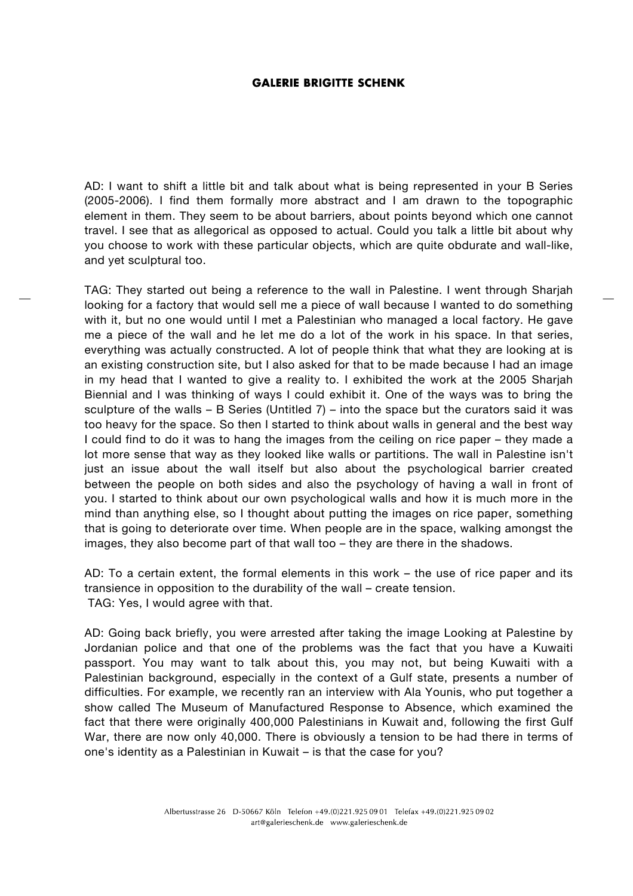AD: I want to shift a little bit and talk about what is being represented in your B Series (2005-2006). I find them formally more abstract and I am drawn to the topographic element in them. They seem to be about barriers, about points beyond which one cannot travel. I see that as allegorical as opposed to actual. Could you talk a little bit about why you choose to work with these particular objects, which are quite obdurate and wall-like, and yet sculptural too.

TAG: They started out being a reference to the wall in Palestine. I went through Sharjah looking for a factory that would sell me a piece of wall because I wanted to do something with it, but no one would until I met a Palestinian who managed a local factory. He gave me a piece of the wall and he let me do a lot of the work in his space. In that series, everything was actually constructed. A lot of people think that what they are looking at is an existing construction site, but I also asked for that to be made because I had an image in my head that I wanted to give a reality to. I exhibited the work at the 2005 Sharjah Biennial and I was thinking of ways I could exhibit it. One of the ways was to bring the sculpture of the walls – B Series (Untitled 7) – into the space but the curators said it was too heavy for the space. So then I started to think about walls in general and the best way I could find to do it was to hang the images from the ceiling on rice paper – they made a lot more sense that way as they looked like walls or partitions. The wall in Palestine isn't just an issue about the wall itself but also about the psychological barrier created between the people on both sides and also the psychology of having a wall in front of you. I started to think about our own psychological walls and how it is much more in the mind than anything else, so I thought about putting the images on rice paper, something that is going to deteriorate over time. When people are in the space, walking amongst the images, they also become part of that wall too – they are there in the shadows.

AD: To a certain extent, the formal elements in this work – the use of rice paper and its transience in opposition to the durability of the wall – create tension. TAG: Yes, I would agree with that.

AD: Going back briefly, you were arrested after taking the image Looking at Palestine by Jordanian police and that one of the problems was the fact that you have a Kuwaiti passport. You may want to talk about this, you may not, but being Kuwaiti with a Palestinian background, especially in the context of a Gulf state, presents a number of difficulties. For example, we recently ran an interview with Ala Younis, who put together a show called The Museum of Manufactured Response to Absence, which examined the fact that there were originally 400,000 Palestinians in Kuwait and, following the first Gulf War, there are now only 40,000. There is obviously a tension to be had there in terms of one's identity as a Palestinian in Kuwait – is that the case for you?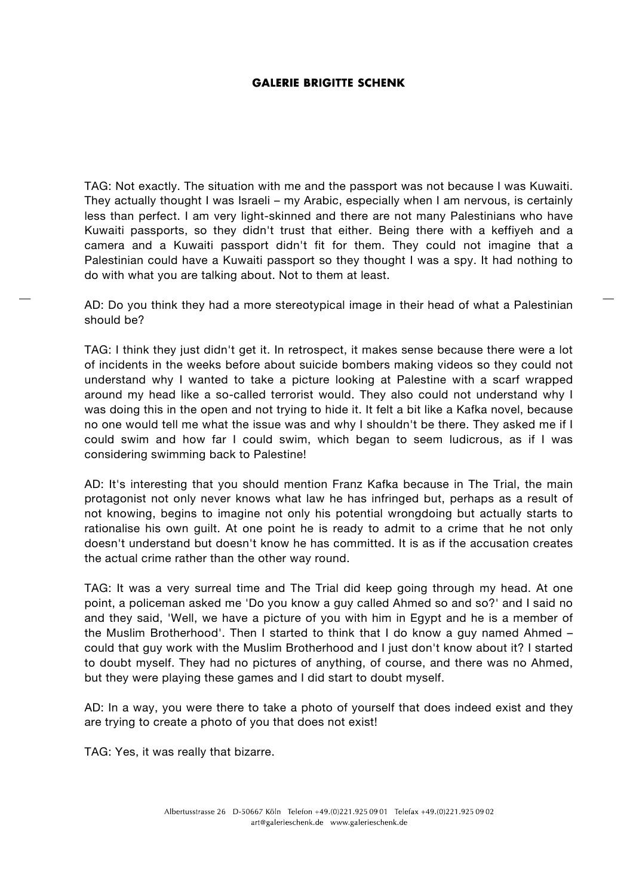TAG: Not exactly. The situation with me and the passport was not because I was Kuwaiti. They actually thought I was Israeli – my Arabic, especially when I am nervous, is certainly less than perfect. I am very light-skinned and there are not many Palestinians who have Kuwaiti passports, so they didn't trust that either. Being there with a keffiyeh and a camera and a Kuwaiti passport didn't fit for them. They could not imagine that a Palestinian could have a Kuwaiti passport so they thought I was a spy. It had nothing to do with what you are talking about. Not to them at least.

AD: Do you think they had a more stereotypical image in their head of what a Palestinian should be?

TAG: I think they just didn't get it. In retrospect, it makes sense because there were a lot of incidents in the weeks before about suicide bombers making videos so they could not understand why I wanted to take a picture looking at Palestine with a scarf wrapped around my head like a so-called terrorist would. They also could not understand why I was doing this in the open and not trying to hide it. It felt a bit like a Kafka novel, because no one would tell me what the issue was and why I shouldn't be there. They asked me if I could swim and how far I could swim, which began to seem ludicrous, as if I was considering swimming back to Palestine!

AD: It's interesting that you should mention Franz Kafka because in The Trial, the main protagonist not only never knows what law he has infringed but, perhaps as a result of not knowing, begins to imagine not only his potential wrongdoing but actually starts to rationalise his own guilt. At one point he is ready to admit to a crime that he not only doesn't understand but doesn't know he has committed. It is as if the accusation creates the actual crime rather than the other way round.

TAG: It was a very surreal time and The Trial did keep going through my head. At one point, a policeman asked me 'Do you know a guy called Ahmed so and so?' and I said no and they said, 'Well, we have a picture of you with him in Egypt and he is a member of the Muslim Brotherhood'. Then I started to think that I do know a guy named Ahmed – could that guy work with the Muslim Brotherhood and I just don't know about it? I started to doubt myself. They had no pictures of anything, of course, and there was no Ahmed, but they were playing these games and I did start to doubt myself.

AD: In a way, you were there to take a photo of yourself that does indeed exist and they are trying to create a photo of you that does not exist!

TAG: Yes, it was really that bizarre.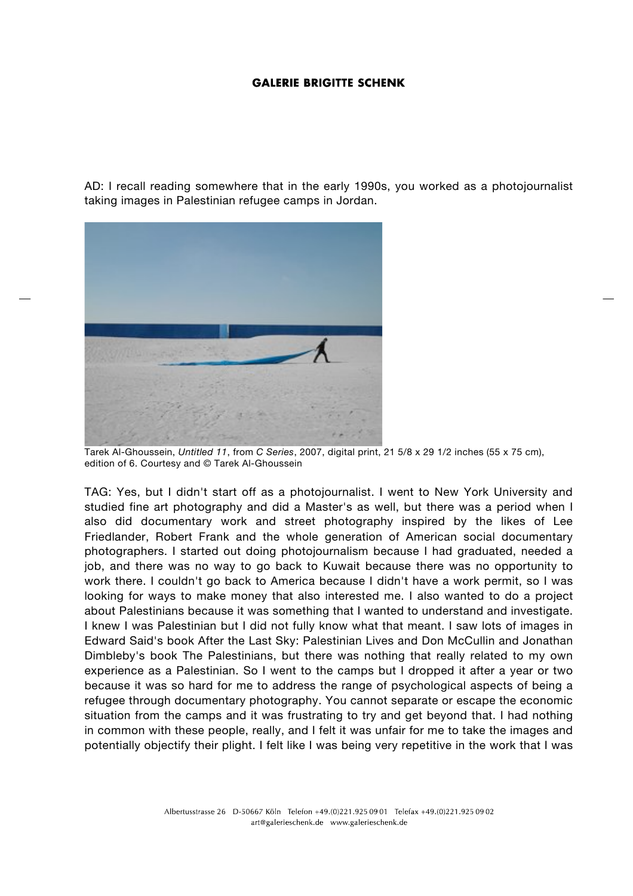AD: I recall reading somewhere that in the early 1990s, you worked as a photojournalist taking images in Palestinian refugee camps in Jordan.



Tarek Al-Ghoussein, *Untitled 11*, from *C Series*, 2007, digital print, 21 5/8 x 29 1/2 inches (55 x 75 cm), edition of 6. Courtesy and © Tarek Al-Ghoussein

TAG: Yes, but I didn't start off as a photojournalist. I went to New York University and studied fine art photography and did a Master's as well, but there was a period when I also did documentary work and street photography inspired by the likes of Lee Friedlander, Robert Frank and the whole generation of American social documentary photographers. I started out doing photojournalism because I had graduated, needed a job, and there was no way to go back to Kuwait because there was no opportunity to work there. I couldn't go back to America because I didn't have a work permit, so I was looking for ways to make money that also interested me. I also wanted to do a project about Palestinians because it was something that I wanted to understand and investigate. I knew I was Palestinian but I did not fully know what that meant. I saw lots of images in Edward Said's book After the Last Sky: Palestinian Lives and Don McCullin and Jonathan Dimbleby's book The Palestinians, but there was nothing that really related to my own experience as a Palestinian. So I went to the camps but I dropped it after a year or two because it was so hard for me to address the range of psychological aspects of being a refugee through documentary photography. You cannot separate or escape the economic situation from the camps and it was frustrating to try and get beyond that. I had nothing in common with these people, really, and I felt it was unfair for me to take the images and potentially objectify their plight. I felt like I was being very repetitive in the work that I was